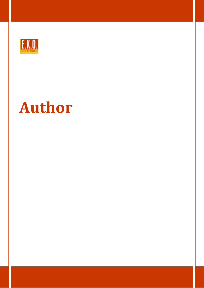

# **Author**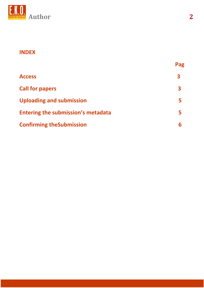

## **INDEX**

|                                           | Pag |
|-------------------------------------------|-----|
| <b>Access</b>                             | 3   |
| <b>Call for papers</b>                    | 3   |
| <b>Uploading and submission</b>           |     |
| <b>Entering the submission's metadata</b> |     |
| <b>Confirming the Submission</b>          |     |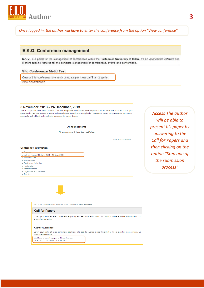

Once logged in, the author will have to enter the conference from the option "View conference"

### E.K.O. Conference management

E.K.O. is a portal for the management of conferences within the Politecnico University of Milan. It's an opensource software and it offers specific features for the complete management of conferences, events and conventions.

#### Sito Conferenza Metid Test

Questa è la conferenza che verrà utilizzata per i test dall'8 al 12 aprile. VIEW CONFERENCE

8 November, 2013 - 24 December, 2013

Sed ut perspiciatis unde omnis iste natus error sit voluptatem accusantium doloremque laudantium, totam rem aperiam, eaque ipsa quae ab illo inventore veritatis et quasi architecto beatae vitae dicta sunt explicabo. Nemo enim ipsam voluptatem quia voluptas sit aspernatur aut odit aut fugit, sed quia consequuntur magni dolores

#### **Announcements**

No announcements have been published

More Announcements.

#### **Conference Information**

» Overvie » Call for Papers (18 April, 2013 - 18 May, 2013)

- Track Policie
- » Presentations
- » Conference Schedule
- » Registration » Accommodation
- » Organizers and Partners
- » Timeline

**Access The author** will be able to present his paper by answering to the **Call for Papers and** then clicking on the option "Step one of the submission process"

EKO Home > Sito Conferenza Metid Test Home > metid prima > Call for Papers

#### **Call for Papers**

Lorem ipsum dolor sit amet, consectetur adipisicing elit, sed do eiusmod tempor incididunt ut labore et dolore magna aliqua. Ut enim ad minim veniam

#### **Author Guidelines**

Lorem ipsum dolor sit amet, consectetur adipisicing elit, sed do eiusmod tempor incididunt ut labore et dolore magna aliqua. Ut enim ad minim veniam

Start here to submit a paper to this conference. STEP ONE OF THE SUBMISSION PROCESS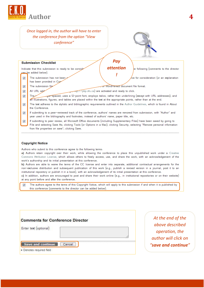

#### **Copyright Notice**

Authors who submit to this conference agree to the following terms:

a) Authors retain copyright over their work, while allowing the conference to place this unpublished work under a Creative Commons Attribution License, which allows others to freely access, use, and share the work, with an acknowledgement of the work's authorship and its initial presentation at this conference.

b) Authors are able to waive the terms of the CC license and enter into separate, additional contractual arrangements for the non-exclusive distribution and subsequent publication of this work (e.g., publish a revised version in a journal, post it to an institutional repository or publish it in a book), with an acknowledgement of its initial presentation at this conference.

c) In addition, authors are encouraged to post and share their work online (e.g., in institutional repositories or on their website) at any point before and after the conference.

The authors agree to the terms of this Copyright Notice, which will apply to this submission if and when it is published by  $\overline{\mathbf{v}}$ this conference (comments to the director can be added below).

**Comments for Conference Director** Enter text (optional) Save and continue Cancel \* Denotes required field

At the end of the above described operation, the author will click on "save and continue"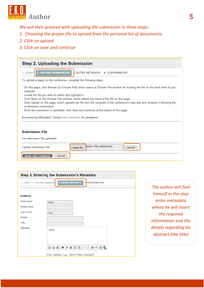

*We will then proceed with uploading the submission in three steps:* 

- *1. Choosing the proper file to upload from the personal list of documents;*
- *2. Click on upload*
- *3. Click on save and continue*

| 1 START                                              | 2. UPLOAD SUBMISSION 3. ENTER METADATA 4. CONFIRMATION                                                                        |
|------------------------------------------------------|-------------------------------------------------------------------------------------------------------------------------------|
|                                                      |                                                                                                                               |
|                                                      | To upload a paper to this conference, complete the following steps.                                                           |
|                                                      | On this page, click Browse (or Choose File) which opens a Choose File window for locating the file on the hard drive of your  |
| computer.                                            |                                                                                                                               |
| Locate the file you wish to submit and highlight it. |                                                                                                                               |
|                                                      | Click Open on the Choose File window, which places the name of the file on this page.                                         |
|                                                      | Click Upload on this page, which uploads the file from the computer to the conference's web site and renames it following the |
| conference's conventions.                            |                                                                                                                               |
|                                                      | Once the submission is uploaded, click Save and Continue at the bottom of this page.                                          |
|                                                      |                                                                                                                               |
|                                                      | Encountering difficulties? Contact sara maraschin for assistance.                                                             |
|                                                      |                                                                                                                               |
|                                                      |                                                                                                                               |
|                                                      |                                                                                                                               |
|                                                      |                                                                                                                               |
| <b>Submission File</b>                               |                                                                                                                               |
| No submission file uploaded.                         |                                                                                                                               |
| Upload submission file                               | Nessun file selezionato<br>Scegli file<br>Upload                                                                              |
|                                                      |                                                                                                                               |

| 1. START       | 3. ENTER METADATA<br>4 CONFIRMATION<br>2. UPLOAD SUBMISSIO |
|----------------|------------------------------------------------------------|
| <b>Authors</b> |                                                            |
| First name*    | mario                                                      |
| Middle name    |                                                            |
| Last name*     | rossi                                                      |
| Email*         |                                                            |
| URL            |                                                            |
| Affiliation    | polimi                                                     |
|                | $X$ in $B$ in $I$ if $E$ is a community                    |

*The author will find himself in the step enter metadata where he will insert the required information and the details regarding his abstract (the title)*